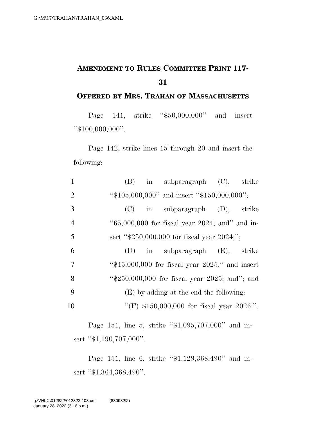## **AMENDMENT TO RULES COMMITTEE PRINT 117- 31**

**OFFERED BY MRS. TRAHAN OF MASSACHUSETTS**

Page 141, strike "\$50,000,000" and insert ''\$100,000,000''.

Page 142, strike lines 15 through 20 and insert the following:

|                | $(B)$ in subparagraph $(C)$ , strike                 |
|----------------|------------------------------------------------------|
| 2              | " $$105,000,000$ " and insert " $$150,000,000$ ";    |
| 3              | in subparagraph $(D)$ ,<br>(C)<br>strike             |
| $\overline{4}$ | " $65,000,000$ for fiscal year 2024; and" and in-    |
| 5              | sert " $$250,000,000$ for fiscal year $2024$ ;";     |
| 6              | $(D)$ in subparagraph $(E)$ , strike                 |
| 7              | " $$45,000,000$ for fiscal year $2025$ ." and insert |
| 8              | " $$250,000,000$ for fiscal year $2025$ ; and"; and  |
| 9              | (E) by adding at the end the following:              |
| 10             | "(F) $$150,000,000$ for fiscal year 2026.".          |

Page 151, line 5, strike "\$1,095,707,000" and insert "\$1,190,707,000".

Page 151, line 6, strike "\$1,129,368,490" and insert "\$1,364,368,490".